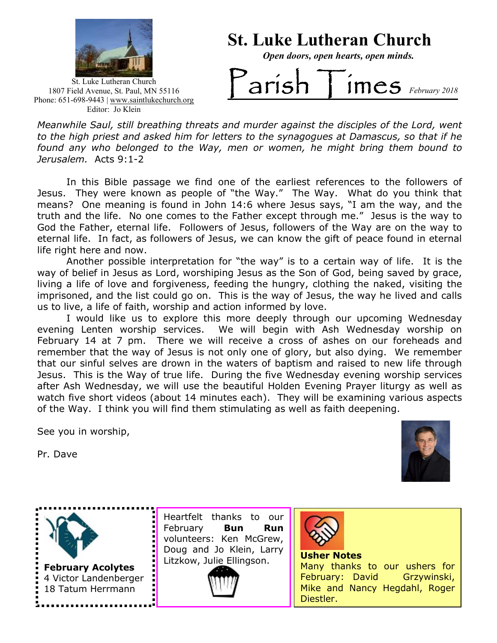

### St. Luke Lutheran Church

Open doors, open hearts, open minds.

St. Luke Lutheran Church 1807 Field Avenue, St. Paul, MN 55116 Phone: 651-698-9443 | www.saintlukechurch.org Editor: Jo Klein

# $arish$  Times  $F_{\text{Ebruary 2018}}$

 to the high priest and asked him for letters to the synagogues at Damascus, so that if he Meanwhile Saul, still breathing threats and murder against the disciples of the Lord, went found any who belonged to the Way, men or women, he might bring them bound to Jerusalem. Acts 9:1-2

In this Bible passage we find one of the earliest references to the followers of Jesus. They were known as people of "the Way." The Way. What do you think that means? One meaning is found in John 14:6 where Jesus says, "I am the way, and the truth and the life. No one comes to the Father except through me." Jesus is the way to God the Father, eternal life. Followers of Jesus, followers of the Way are on the way to eternal life. In fact, as followers of Jesus, we can know the gift of peace found in eternal life right here and now.

Another possible interpretation for "the way" is to a certain way of life. It is the way of belief in Jesus as Lord, worshiping Jesus as the Son of God, being saved by grace, living a life of love and forgiveness, feeding the hungry, clothing the naked, visiting the imprisoned, and the list could go on. This is the way of Jesus, the way he lived and calls us to live, a life of faith, worship and action informed by love.

I would like us to explore this more deeply through our upcoming Wednesday evening Lenten worship services. We will begin with Ash Wednesday worship on February 14 at 7 pm. There we will receive a cross of ashes on our foreheads and remember that the way of Jesus is not only one of glory, but also dying. We remember that our sinful selves are drown in the waters of baptism and raised to new life through Jesus. This is the Way of true life. During the five Wednesday evening worship services after Ash Wednesday, we will use the beautiful Holden Evening Prayer liturgy as well as watch five short videos (about 14 minutes each). They will be examining various aspects of the Way. I think you will find them stimulating as well as faith deepening.

See you in worship,

Pr. Dave





Heartfelt thanks to our February **Bun Run** volunteers: Ken McGrew, Doug and Jo Klein, Larry Litzkow, Julie Ellingson.





Usher Notes

Many thanks to our ushers for February: David Grzywinski, Mike and Nancy Hegdahl, Roger Diestler.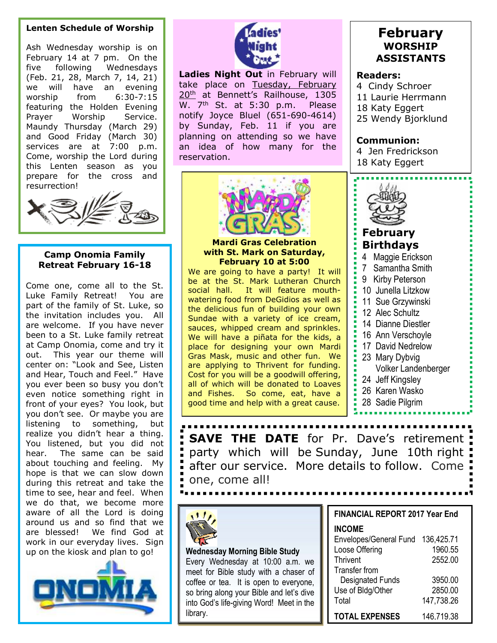#### Lenten Schedule of Worship

 Ash Wednesday worship is on February 14 at 7 pm. On the five following Wednesdays (Feb. 21, 28, March 7, 14, 21) we will have an evening worship from 6:30-7:15 featuring the Holden Evening Prayer Worship Service. Maundy Thursday (March 29) and Good Friday (March 30) services are at 7:00 p.m. Come, worship the Lord during this Lenten season as you prepare for the cross and resurrection!



#### Camp Onomia Family Retreat February 16-18

Come one, come all to the St. Luke Family Retreat! You are part of the family of St. Luke, so the invitation includes you. All are welcome. If you have never been to a St. Luke family retreat at Camp Onomia, come and try it out. This year our theme will center on: "Look and See, Listen and Hear, Touch and Feel." Have you ever been so busy you don't even notice something right in front of your eyes? You look, but you don't see. Or maybe you are listening to something, but realize you didn't hear a thing. You listened, but you did not hear. The same can be said about touching and feeling. My hope is that we can slow down during this retreat and take the time to see, hear and feel. When we do that, we become more aware of all the Lord is doing around us and so find that we are blessed! We find God at work in our everyday lives. Sign up on the kiosk and plan to go!  $\|\cdot\|$  Wednesday Morning Bible Study





Ladies Night Out in February will take place on Tuesday, February 20<sup>th</sup> at Bennett's Railhouse, 1305 W. 7<sup>th</sup> St. at 5:30 p.m. Please notify Joyce Bluel (651-690-4614) by Sunday, Feb. 11 if you are planning on attending so we have an idea of how many for the reservation.



Mardi Gras Celebration with St. Mark on Saturday, February 10 at 5:00

We are going to have a party! It will be at the St. Mark Lutheran Church social hall. It will feature mouthwatering food from DeGidios as well as the delicious fun of building your own Sundae with a variety of ice cream, sauces, whipped cream and sprinkles. We will have a piñata for the kids, a place for designing your own Mardi Gras Mask, music and other fun. We are applying to Thrivent for funding. Cost for you will be a goodwill offering, all of which will be donated to Loaves and Fishes. So come, eat, have a good time and help with a great cause.

#### February WORSHIP ASSISTANTS

#### Readers:

4 Cindy Schroer 11 Laurie Herrmann 18 Katy Eggert 25 Wendy Bjorklund

Communion: 4 Jen Fredrickson

18 Katy Eggert



#### February Birthdays

- 4 Maggie Erickson
- 7 Samantha Smith
- 9 Kirby Peterson
- 10 Junella Litzkow
- 11 Sue Grzywinski
- 12 Alec Schultz
- 14 Dianne Diestler
- 16 Ann Verschoyle
- 17 David Nedrelow
- 23 Mary Dybvig
	- Volker Landenberger
- 24 Jeff Kingsley
- 26 Karen Wasko
- 28 Sadie Pilgrim

**SAVE THE DATE** for Pr. Dave's retirement party which will be Sunday, June 10th right after our service. More details to follow. Come one, come all!



| vare of all the Lord is doing                                                               |                                          | <b>FINANCIAL REPORT 2017 Year End</b>              |            |
|---------------------------------------------------------------------------------------------|------------------------------------------|----------------------------------------------------|------------|
| ound us and so find that we<br>e blessed! We find God at<br>ork in our everyday lives. Sign |                                          | <b>INCOME</b><br>Envelopes/General Fund 136,425.71 |            |
| on the kiosk and plan to go!                                                                | <b>Wednesday Morning Bible Study</b>     | Loose Offering                                     | 1960.55    |
|                                                                                             | Every Wednesday at 10:00 a.m. we         | Thrivent                                           | 2552.00    |
|                                                                                             | meet for Bible study with a chaser of    | Transfer from                                      |            |
|                                                                                             | coffee or tea. It is open to everyone,   | <b>Designated Funds</b>                            | 3950.00    |
|                                                                                             | so bring along your Bible and let's dive | Use of Bldg/Other                                  | 2850.00    |
|                                                                                             | into God's life-giving Word! Meet in the | Total                                              | 147,738.26 |
|                                                                                             | library.                                 | <b>TOTAL EXPENSES</b>                              | 146.719.38 |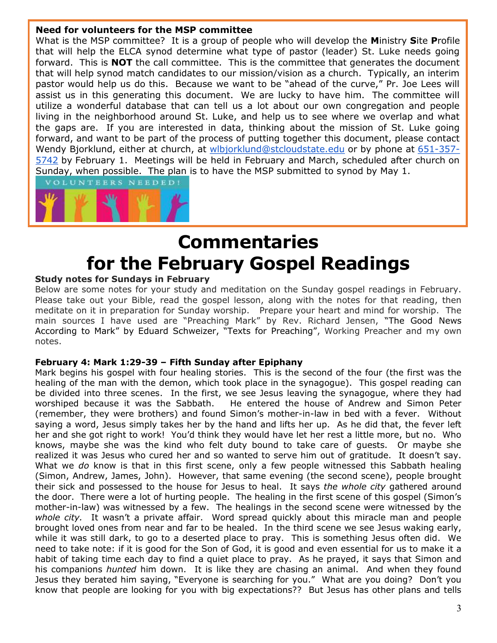#### Need for volunteers for the MSP committee

What is the MSP committee? It is a group of people who will develop the Ministry Site Profile that will help the ELCA synod determine what type of pastor (leader) St. Luke needs going forward. This is **NOT** the call committee. This is the committee that generates the document that will help synod match candidates to our mission/vision as a church. Typically, an interim pastor would help us do this. Because we want to be "ahead of the curve," Pr. Joe Lees will assist us in this generating this document. We are lucky to have him. The committee will utilize a wonderful database that can tell us a lot about our own congregation and people living in the neighborhood around St. Luke, and help us to see where we overlap and what the gaps are. If you are interested in data, thinking about the mission of St. Luke going forward, and want to be part of the process of putting together this document, please contact Wendy Bjorklund, either at church, at wlbjorklund@stcloudstate.edu or by phone at 651-357-5742 by February 1. Meetings will be held in February and March, scheduled after church on Sunday, when possible. The plan is to have the MSP submitted to synod by May 1.



## Commentaries for the February Gospel Readings

#### Study notes for Sundays in February

Below are some notes for your study and meditation on the Sunday gospel readings in February. Please take out your Bible, read the gospel lesson, along with the notes for that reading, then meditate on it in preparation for Sunday worship. Prepare your heart and mind for worship. The main sources I have used are "Preaching Mark" by Rev. Richard Jensen, "The Good News According to Mark" by Eduard Schweizer, "Texts for Preaching", Working Preacher and my own notes.

#### February 4: Mark 1:29-39 – Fifth Sunday after Epiphany

Mark begins his gospel with four healing stories. This is the second of the four (the first was the healing of the man with the demon, which took place in the synagogue). This gospel reading can be divided into three scenes. In the first, we see Jesus leaving the synagogue, where they had worshiped because it was the Sabbath. He entered the house of Andrew and Simon Peter (remember, they were brothers) and found Simon's mother-in-law in bed with a fever. Without saying a word, Jesus simply takes her by the hand and lifts her up. As he did that, the fever left her and she got right to work! You'd think they would have let her rest a little more, but no. Who knows, maybe she was the kind who felt duty bound to take care of guests. Or maybe she realized it was Jesus who cured her and so wanted to serve him out of gratitude. It doesn't say. What we do know is that in this first scene, only a few people witnessed this Sabbath healing (Simon, Andrew, James, John). However, that same evening (the second scene), people brought their sick and possessed to the house for Jesus to heal. It says the whole city gathered around the door. There were a lot of hurting people. The healing in the first scene of this gospel (Simon's mother-in-law) was witnessed by a few. The healings in the second scene were witnessed by the whole city. It wasn't a private affair. Word spread quickly about this miracle man and people brought loved ones from near and far to be healed. In the third scene we see Jesus waking early, while it was still dark, to go to a deserted place to pray. This is something Jesus often did. We need to take note: if it is good for the Son of God, it is good and even essential for us to make it a habit of taking time each day to find a quiet place to pray. As he prayed, it says that Simon and his companions *hunted* him down. It is like they are chasing an animal. And when they found Jesus they berated him saying, "Everyone is searching for you." What are you doing? Don't you know that people are looking for you with big expectations?? But Jesus has other plans and tells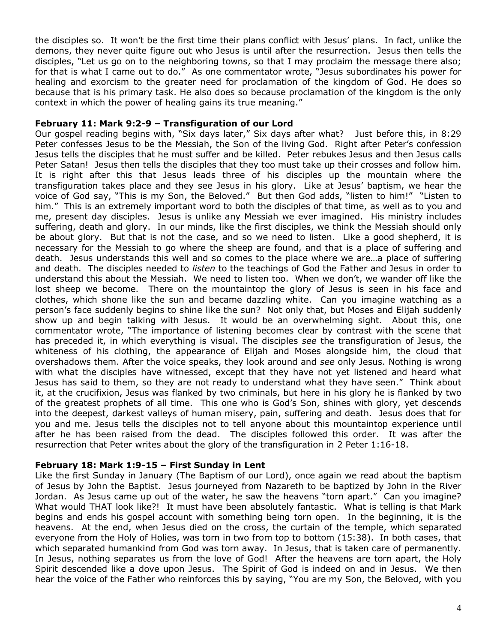the disciples so. It won't be the first time their plans conflict with Jesus' plans. In fact, unlike the demons, they never quite figure out who Jesus is until after the resurrection. Jesus then tells the disciples, "Let us go on to the neighboring towns, so that I may proclaim the message there also; for that is what I came out to do." As one commentator wrote, "Jesus subordinates his power for healing and exorcism to the greater need for proclamation of the kingdom of God. He does so because that is his primary task. He also does so because proclamation of the kingdom is the only context in which the power of healing gains its true meaning."

#### February 11: Mark 9:2-9 – Transfiguration of our Lord

Our gospel reading begins with, "Six days later," Six days after what? Just before this, in 8:29 Peter confesses Jesus to be the Messiah, the Son of the living God. Right after Peter's confession Jesus tells the disciples that he must suffer and be killed. Peter rebukes Jesus and then Jesus calls Peter Satan! Jesus then tells the disciples that they too must take up their crosses and follow him. It is right after this that Jesus leads three of his disciples up the mountain where the transfiguration takes place and they see Jesus in his glory. Like at Jesus' baptism, we hear the voice of God say, "This is my Son, the Beloved." But then God adds, "listen to him!" "Listen to him." This is an extremely important word to both the disciples of that time, as well as to you and me, present day disciples. Jesus is unlike any Messiah we ever imagined. His ministry includes suffering, death and glory. In our minds, like the first disciples, we think the Messiah should only be about glory. But that is not the case, and so we need to listen. Like a good shepherd, it is necessary for the Messiah to go where the sheep are found, and that is a place of suffering and death. Jesus understands this well and so comes to the place where we are…a place of suffering and death. The disciples needed to *listen* to the teachings of God the Father and Jesus in order to understand this about the Messiah. We need to listen too. When we don't, we wander off like the lost sheep we become. There on the mountaintop the glory of Jesus is seen in his face and clothes, which shone like the sun and became dazzling white. Can you imagine watching as a person's face suddenly begins to shine like the sun? Not only that, but Moses and Elijah suddenly show up and begin talking with Jesus. It would be an overwhelming sight. About this, one commentator wrote, "The importance of listening becomes clear by contrast with the scene that has preceded it, in which everything is visual. The disciples see the transfiguration of Jesus, the whiteness of his clothing, the appearance of Elijah and Moses alongside him, the cloud that overshadows them. After the voice speaks, they look around and see only Jesus. Nothing is wrong with what the disciples have witnessed, except that they have not yet listened and heard what Jesus has said to them, so they are not ready to understand what they have seen." Think about it, at the crucifixion, Jesus was flanked by two criminals, but here in his glory he is flanked by two of the greatest prophets of all time. This one who is God's Son, shines with glory, yet descends into the deepest, darkest valleys of human misery, pain, suffering and death. Jesus does that for you and me. Jesus tells the disciples not to tell anyone about this mountaintop experience until after he has been raised from the dead. The disciples followed this order. It was after the resurrection that Peter writes about the glory of the transfiguration in 2 Peter 1:16-18.

#### February 18: Mark 1:9-15 – First Sunday in Lent

Like the first Sunday in January (The Baptism of our Lord), once again we read about the baptism of Jesus by John the Baptist. Jesus journeyed from Nazareth to be baptized by John in the River Jordan. As Jesus came up out of the water, he saw the heavens "torn apart." Can you imagine? What would THAT look like?! It must have been absolutely fantastic. What is telling is that Mark begins and ends his gospel account with something being torn open. In the beginning, it is the heavens. At the end, when Jesus died on the cross, the curtain of the temple, which separated everyone from the Holy of Holies, was torn in two from top to bottom (15:38). In both cases, that which separated humankind from God was torn away. In Jesus, that is taken care of permanently. In Jesus, nothing separates us from the love of God! After the heavens are torn apart, the Holy Spirit descended like a dove upon Jesus. The Spirit of God is indeed on and in Jesus. We then hear the voice of the Father who reinforces this by saying, "You are my Son, the Beloved, with you